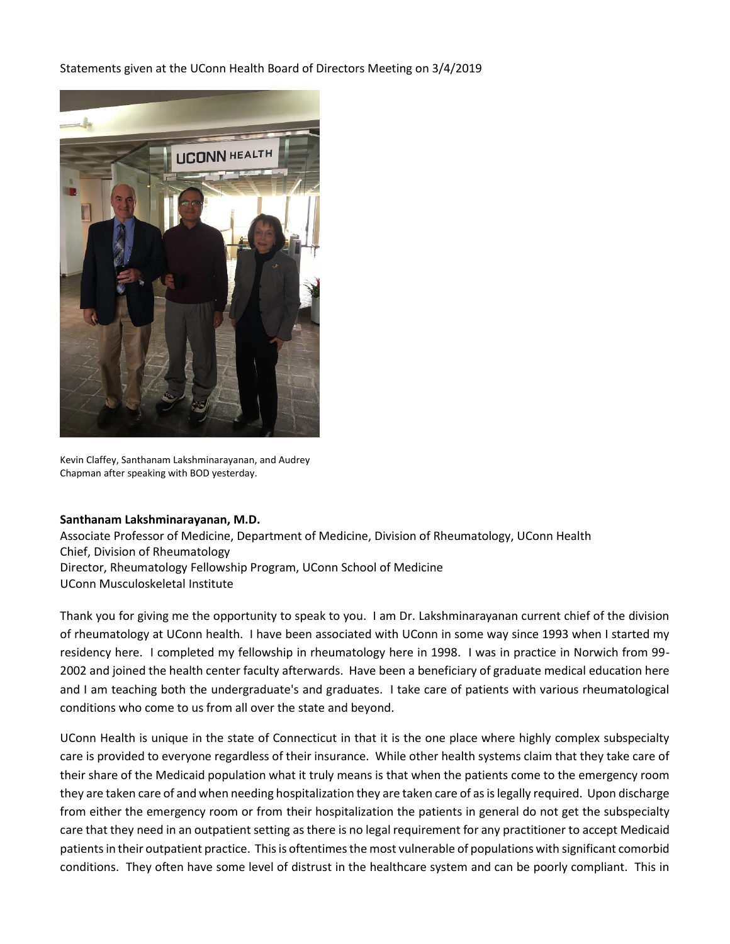Statements given at the UConn Health Board of Directors Meeting on 3/4/2019



Kevin Claffey, Santhanam Lakshminarayanan, and Audrey Chapman after speaking with BOD yesterday.

## **Santhanam Lakshminarayanan, M.D.**

Associate Professor of Medicine, Department of Medicine, Division of Rheumatology, UConn Health Chief, Division of Rheumatology Director, Rheumatology Fellowship Program, UConn School of Medicine UConn Musculoskeletal Institute

Thank you for giving me the opportunity to speak to you. I am Dr. Lakshminarayanan current chief of the division of rheumatology at UConn health. I have been associated with UConn in some way since 1993 when I started my residency here. I completed my fellowship in rheumatology here in 1998. I was in practice in Norwich from 99- 2002 and joined the health center faculty afterwards. Have been a beneficiary of graduate medical education here and I am teaching both the undergraduate's and graduates. I take care of patients with various rheumatological conditions who come to us from all over the state and beyond.

UConn Health is unique in the state of Connecticut in that it is the one place where highly complex subspecialty care is provided to everyone regardless of their insurance. While other health systems claim that they take care of their share of the Medicaid population what it truly means is that when the patients come to the emergency room they are taken care of and when needing hospitalization they are taken care of as is legally required. Upon discharge from either the emergency room or from their hospitalization the patients in general do not get the subspecialty care that they need in an outpatient setting as there is no legal requirement for any practitioner to accept Medicaid patients in their outpatient practice. This is oftentimes the most vulnerable of populations with significant comorbid conditions. They often have some level of distrust in the healthcare system and can be poorly compliant. This in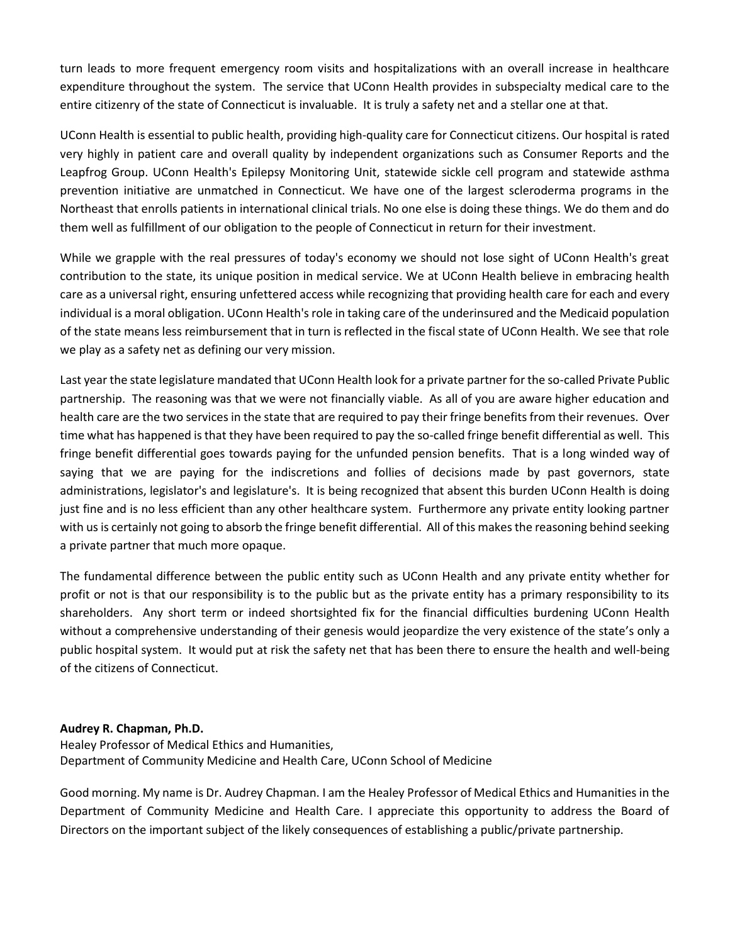turn leads to more frequent emergency room visits and hospitalizations with an overall increase in healthcare expenditure throughout the system. The service that UConn Health provides in subspecialty medical care to the entire citizenry of the state of Connecticut is invaluable. It is truly a safety net and a stellar one at that.

UConn Health is essential to public health, providing high-quality care for Connecticut citizens. Our hospital is rated very highly in patient care and overall quality by independent organizations such as Consumer Reports and the Leapfrog Group. UConn Health's Epilepsy Monitoring Unit, statewide sickle cell program and statewide asthma prevention initiative are unmatched in Connecticut. We have one of the largest scleroderma programs in the Northeast that enrolls patients in international clinical trials. No one else is doing these things. We do them and do them well as fulfillment of our obligation to the people of Connecticut in return for their investment.

While we grapple with the real pressures of today's economy we should not lose sight of UConn Health's great contribution to the state, its unique position in medical service. We at UConn Health believe in embracing health care as a universal right, ensuring unfettered access while recognizing that providing health care for each and every individual is a moral obligation. UConn Health's role in taking care of the underinsured and the Medicaid population of the state means less reimbursement that in turn is reflected in the fiscal state of UConn Health. We see that role we play as a safety net as defining our very mission.

Last year the state legislature mandated that UConn Health look for a private partner for the so-called Private Public partnership. The reasoning was that we were not financially viable. As all of you are aware higher education and health care are the two services in the state that are required to pay their fringe benefits from their revenues. Over time what has happened is that they have been required to pay the so-called fringe benefit differential as well. This fringe benefit differential goes towards paying for the unfunded pension benefits. That is a long winded way of saying that we are paying for the indiscretions and follies of decisions made by past governors, state administrations, legislator's and legislature's. It is being recognized that absent this burden UConn Health is doing just fine and is no less efficient than any other healthcare system. Furthermore any private entity looking partner with us is certainly not going to absorb the fringe benefit differential. All of this makes the reasoning behind seeking a private partner that much more opaque.

The fundamental difference between the public entity such as UConn Health and any private entity whether for profit or not is that our responsibility is to the public but as the private entity has a primary responsibility to its shareholders. Any short term or indeed shortsighted fix for the financial difficulties burdening UConn Health without a comprehensive understanding of their genesis would jeopardize the very existence of the state's only a public hospital system. It would put at risk the safety net that has been there to ensure the health and well-being of the citizens of Connecticut.

## **Audrey R. Chapman, Ph.D.**

Healey Professor of Medical Ethics and Humanities, Department of Community Medicine and Health Care, UConn School of Medicine

Good morning. My name is Dr. Audrey Chapman. I am the Healey Professor of Medical Ethics and Humanities in the Department of Community Medicine and Health Care. I appreciate this opportunity to address the Board of Directors on the important subject of the likely consequences of establishing a public/private partnership.